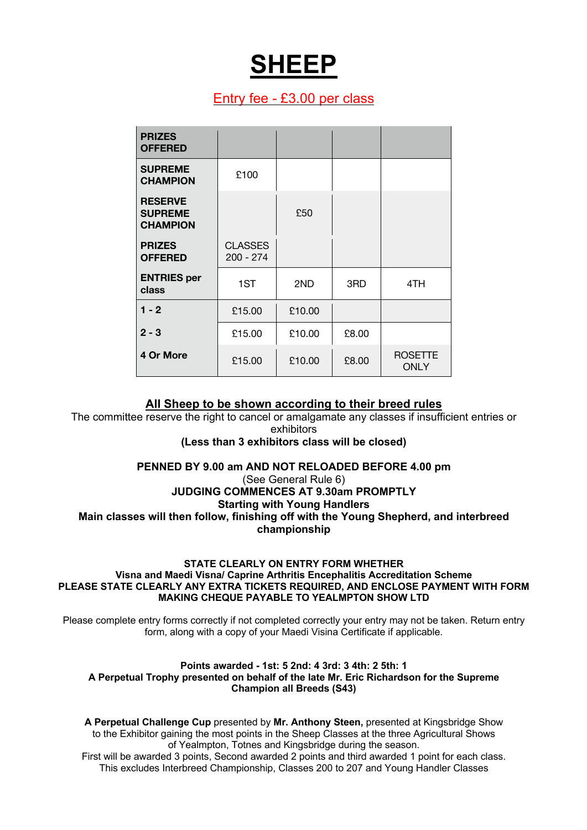# **SHEEP**

# Entry fee - £3.00 per class

| <b>PRIZES</b><br><b>OFFERED</b>                     |                               |        |       |                               |
|-----------------------------------------------------|-------------------------------|--------|-------|-------------------------------|
| <b>SUPREME</b><br><b>CHAMPION</b>                   | £100                          |        |       |                               |
| <b>RESERVE</b><br><b>SUPREME</b><br><b>CHAMPION</b> |                               | £50    |       |                               |
| <b>PRIZES</b><br><b>OFFERED</b>                     | <b>CLASSES</b><br>$200 - 274$ |        |       |                               |
| <b>ENTRIES</b> per<br>class                         | 1ST                           | 2ND    | 3RD   | 4TH                           |
| $1 - 2$                                             | £15.00                        | £10.00 |       |                               |
| $2 - 3$                                             | £15.00                        | £10.00 | £8.00 |                               |
| 4 Or More                                           | £15.00                        | £10.00 | £8.00 | <b>ROSETTE</b><br><b>ONLY</b> |

# **All Sheep to be shown according to their breed rules**

The committee reserve the right to cancel or amalgamate any classes if insufficient entries or exhibitors

## **(Less than 3 exhibitors class will be closed)**

## **PENNED BY 9.00 am AND NOT RELOADED BEFORE 4.00 pm**

(See General Rule 6)

## **JUDGING COMMENCES AT 9.30am PROMPTLY Starting with Young Handlers Main classes will then follow, finishing off with the Young Shepherd, and interbreed championship**

#### **STATE CLEARLY ON ENTRY FORM WHETHER Visna and Maedi Visna/ Caprine Arthritis Encephalitis Accreditation Scheme PLEASE STATE CLEARLY ANY EXTRA TICKETS REQUIRED, AND ENCLOSE PAYMENT WITH FORM MAKING CHEQUE PAYABLE TO YEALMPTON SHOW LTD**

Please complete entry forms correctly if not completed correctly your entry may not be taken. Return entry form, along with a copy of your Maedi Visina Certificate if applicable.

#### **Points awarded - 1st: 5 2nd: 4 3rd: 3 4th: 2 5th: 1 A Perpetual Trophy presented on behalf of the late Mr. Eric Richardson for the Supreme Champion all Breeds (S43)**

**A Perpetual Challenge Cup** presented by **Mr. Anthony Steen,** presented at Kingsbridge Show to the Exhibitor gaining the most points in the Sheep Classes at the three Agricultural Shows of Yealmpton, Totnes and Kingsbridge during the season.

First will be awarded 3 points, Second awarded 2 points and third awarded 1 point for each class. This excludes Interbreed Championship, Classes 200 to 207 and Young Handler Classes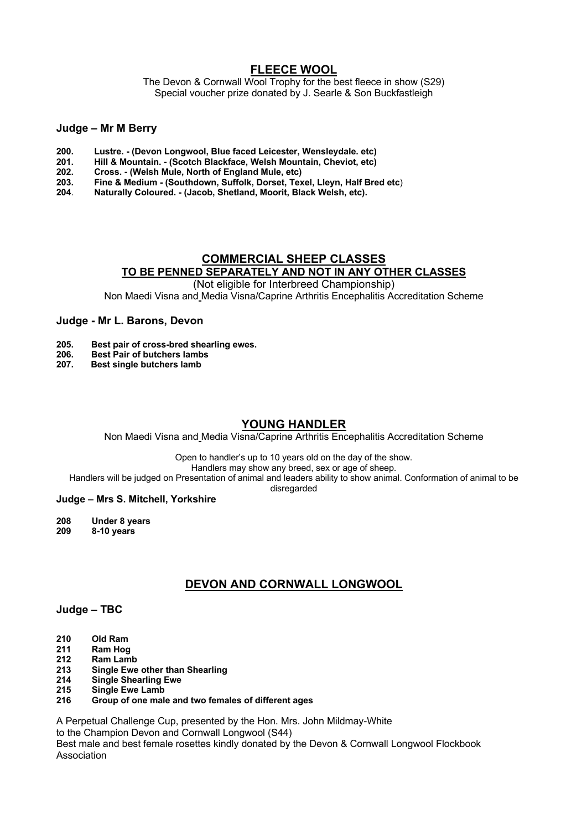## **FLEECE WOOL**

The Devon & Cornwall Wool Trophy for the best fleece in show (S29) Special voucher prize donated by J. Searle & Son Buckfastleigh

#### **Judge – Mr M Berry**

- **200. Lustre. - (Devon Longwool, Blue faced Leicester, Wensleydale. etc)**
- **201. Hill & Mountain. - (Scotch Blackface, Welsh Mountain, Cheviot, etc)**
- **202. Cross. - (Welsh Mule, North of England Mule, etc)**
- **203. Fine & Medium - (Southdown, Suffolk, Dorset, Texel, Lleyn, Half Bred etc**)
- **204**. **Naturally Coloured. - (Jacob, Shetland, Moorit, Black Welsh, etc).**

## **COMMERCIAL SHEEP CLASSES TO BE PENNED SEPARATELY AND NOT IN ANY OTHER CLASSES**

(Not eligible for Interbreed Championship)

Non Maedi Visna and Media Visna/Caprine Arthritis Encephalitis Accreditation Scheme

#### **Judge - Mr L. Barons, Devon**

- **205. Best pair of cross-bred shearling ewes.**
- **206. Best Pair of butchers lambs**
- **207. Best single butchers lamb**

## **YOUNG HANDLER**

Non Maedi Visna and Media Visna/Caprine Arthritis Encephalitis Accreditation Scheme

Open to handler's up to 10 years old on the day of the show.

Handlers may show any breed, sex or age of sheep.

Handlers will be judged on Presentation of animal and leaders ability to show animal. Conformation of animal to be

disregarded

#### **Judge – Mrs S. Mitchell, Yorkshire**

**208 Under 8 years 209 8-10 years**

# **DEVON AND CORNWALL LONGWOOL**

#### **Judge – TBC**

- **210 Old Ram**
- **211 Ram Hog**
- **212 Ram Lamb**
- **213 Single Ewe other than Shearling**
- **214 Single Shearling Ewe**
- **215 Single Ewe Lamb**
- **216 Group of one male and two females of different ages**

A Perpetual Challenge Cup, presented by the Hon. Mrs. John Mildmay-White to the Champion Devon and Cornwall Longwool (S44)

Best male and best female rosettes kindly donated by the Devon & Cornwall Longwool Flockbook Association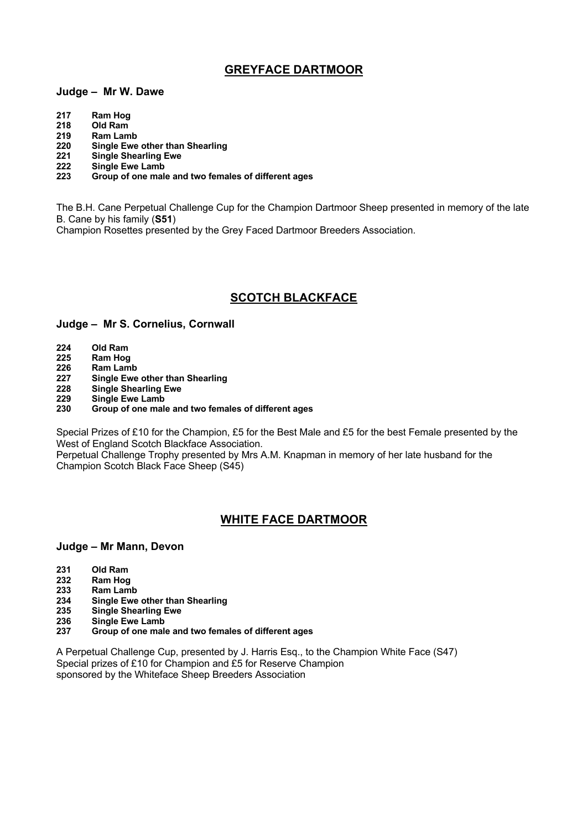# **GREYFACE DARTMOOR**

#### **Judge – Mr W. Dawe**

- **217 Ram Hog**
- **218 Old Ram**
- **219 Ram Lamb**
- **220 Single Ewe other than Shearling**
- **221 Single Shearling Ewe**
- **222 Single Ewe Lamb**
- **223 Group of one male and two females of different ages**

The B.H. Cane Perpetual Challenge Cup for the Champion Dartmoor Sheep presented in memory of the late B. Cane by his family (**S51**)

Champion Rosettes presented by the Grey Faced Dartmoor Breeders Association.

# **SCOTCH BLACKFACE**

#### **Judge – Mr S. Cornelius, Cornwall**

- **224 Old Ram**
- **225 Ram Hog**
- **226 Ram Lamb**
- **227 Single Ewe other than Shearling**
- **228 Single Shearling Ewe**
- **229 Single Ewe Lamb**
- **230 Group of one male and two females of different ages**

Special Prizes of £10 for the Champion, £5 for the Best Male and £5 for the best Female presented by the West of England Scotch Blackface Association.

Perpetual Challenge Trophy presented by Mrs A.M. Knapman in memory of her late husband for the Champion Scotch Black Face Sheep (S45)

# **WHITE FACE DARTMOOR**

#### **Judge – Mr Mann, Devon**

- **231 Old Ram**
- **232 Ram Hog**
- **233 Ram Lamb**
- **234 Single Ewe other than Shearling**
- **235 Single Shearling Ewe**
- **236 Single Ewe Lamb**
- **237 Group of one male and two females of different ages**

A Perpetual Challenge Cup, presented by J. Harris Esq., to the Champion White Face (S47) Special prizes of £10 for Champion and £5 for Reserve Champion sponsored by the Whiteface Sheep Breeders Association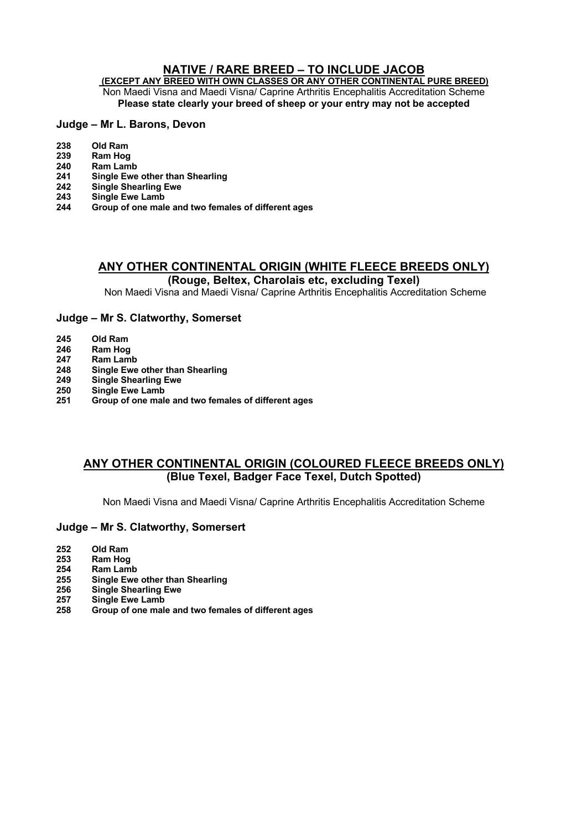# **NATIVE / RARE BREED – TO INCLUDE JACOB**

**(EXCEPT ANY BREED WITH OWN CLASSES OR ANY OTHER CONTINENTAL PURE BREED)** Non Maedi Visna and Maedi Visna/ Caprine Arthritis Encephalitis Accreditation Scheme **Please state clearly your breed of sheep or your entry may not be accepted**

## **Judge – Mr L. Barons, Devon**

- **Old Ram**
- **Ram Hog**
- **Ram Lamb**
- **Single Ewe other than Shearling**
- **Single Shearling Ewe**
- **Single Ewe Lamb**
- **Group of one male and two females of different ages**

## **ANY OTHER CONTINENTAL ORIGIN (WHITE FLEECE BREEDS ONLY) (Rouge, Beltex, Charolais etc, excluding Texel)**

Non Maedi Visna and Maedi Visna/ Caprine Arthritis Encephalitis Accreditation Scheme

## **Judge – Mr S. Clatworthy, Somerset**

- **Old Ram**
- **Ram Hog**
- **Ram Lamb**
- **Single Ewe other than Shearling**
- **Single Shearling Ewe**
- **Single Ewe Lamb**
- **Group of one male and two females of different ages**

# **ANY OTHER CONTINENTAL ORIGIN (COLOURED FLEECE BREEDS ONLY) (Blue Texel, Badger Face Texel, Dutch Spotted)**

Non Maedi Visna and Maedi Visna/ Caprine Arthritis Encephalitis Accreditation Scheme

## **Judge – Mr S. Clatworthy, Somersert**

- **Old Ram**
- **Ram Hog**
- **Ram Lamb**
- **Single Ewe other than Shearling Single Shearling Ewe**
- 
- **Single Ewe Lamb**
- **Group of one male and two females of different ages**